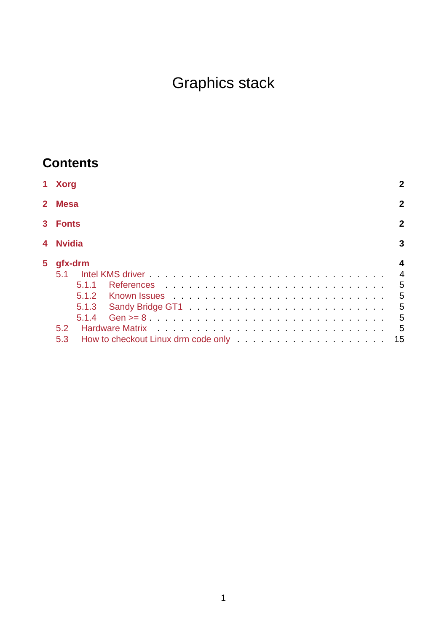# Graphics stack

# **Contents**

|       | 1 Xorg                                                                                                      |                |
|-------|-------------------------------------------------------------------------------------------------------------|----------------|
|       | 2 Mesa                                                                                                      | $\mathbf{2}$   |
| $3 -$ | <b>Fonts</b>                                                                                                | $\mathbf{2}$   |
| 4     | <b>Nvidia</b>                                                                                               | 3              |
| 5     | gfx-drm                                                                                                     | 4              |
|       | 5.1                                                                                                         | $\overline{4}$ |
|       | 511                                                                                                         | 5              |
|       | 512<br>Known Issues et al., and a series and a series and a series and a series and a series of the Known S | 5              |
|       | 5.1.3                                                                                                       | 5              |
|       | 5.1.4                                                                                                       | 5              |
|       | 5.2                                                                                                         | 5              |
|       | 5.3                                                                                                         | 15             |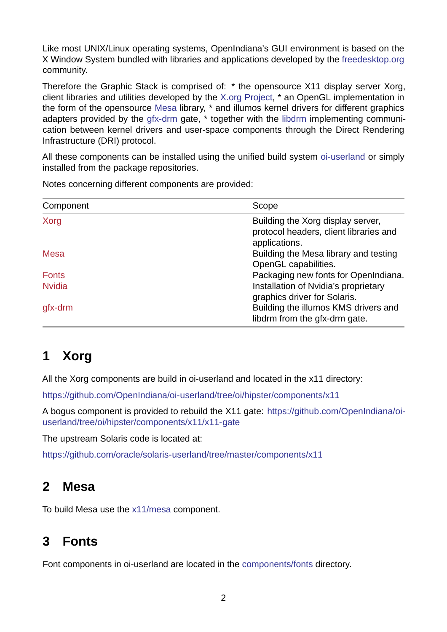Like most UNIX/Linux operating systems, OpenIndiana's GUI environment is based on the X Window System bundled with libraries and applications developed by the freedesktop.org community.

Therefore the Graphic Stack is comprised of: \* the opensource X11 display server Xorg, client libraries and utilities developed by the X.org Project, \* an OpenGL i[mplementation in](https://www.freedesktop.org/) the form of the opensource Mesa library, \* and illumos kernel drivers for different graphics adapters provided by the gfx-drm gate, \* together with the libdrm implementing communication between kernel drivers and userspa[ce componen](https://www.x.org/)ts through the Direct Rendering Infrastructure (DRI) protocol[.](https://www.mesa3d.org/)

All these components can [be insta](https://github.com/illumos/gfx-drm)lled using the unified buil[d syste](https://gitlab.freedesktop.org/mesa/drm)m oi-userland or simply installed from the package repositories.

Notes concerning different components are provided:

| Component     | Scope                                                                                        |
|---------------|----------------------------------------------------------------------------------------------|
| Xorg          | Building the Xorg display server,<br>protocol headers, client libraries and<br>applications. |
| Mesa          | Building the Mesa library and testing<br>OpenGL capabilities.                                |
| <b>Fonts</b>  | Packaging new fonts for OpenIndiana.                                                         |
| <b>Nvidia</b> | Installation of Nvidia's proprietary<br>graphics driver for Solaris.                         |
| gfx-drm       | Building the illumos KMS drivers and<br>libdrm from the gfx-drm gate.                        |

# **[1 Xo](#page-3-0)rg**

<span id="page-1-0"></span>All the Xorg components are build in oi-userland and located in the x11 directory:

https://github.com/OpenIndiana/oi-userland/tree/oi/hipster/components/x11

A bogus component is provided to rebuild the X11 gate: https://github.com/OpenIndiana/oiuserland/tree/oi/hipster/components/x11/x11-gate

[The upstream Solaris code is located at:](https://github.com/OpenIndiana/oi-userland/tree/oi/hipster/components/x11)

https://github.com/oracle/solaris-userland/tree/master/co[mponents/x11](https://github.com/OpenIndiana/oi-userland/tree/oi/hipster/components/x11/x11-gate)

# **[2 Mesa](https://github.com/oracle/solaris-userland/tree/master/components/x11)**

<span id="page-1-1"></span>To build Mesa use the x11/mesa component.

# **3 Fonts**

<span id="page-1-2"></span>Font components in oi-userland are located in the components/fonts directory.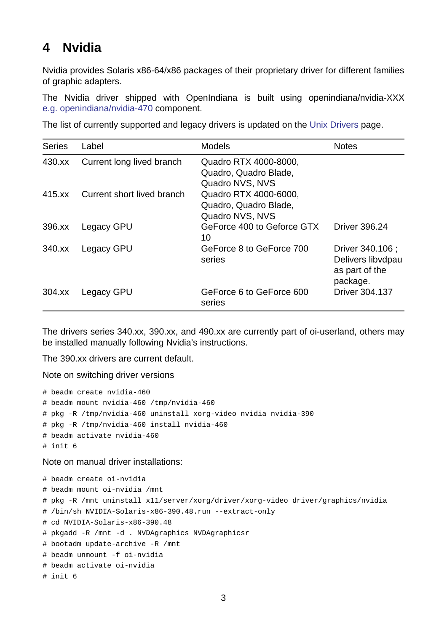### **4 Nvidia**

Nvidia provides Solaris x86-64/x86 packages of their proprietary driver for different families of graphic adapters.

<span id="page-2-0"></span>The Nvidia driver shipped with OpenIndiana is built using openindiana/nvidia-XXX e.g. openindiana/nvidia-470 component.

The list of currently supported and legacy drivers is updated on the Unix Drivers page.

| <b>Series</b> | Label                      | <b>Models</b>                                                     | <b>Notes</b>                                                        |
|---------------|----------------------------|-------------------------------------------------------------------|---------------------------------------------------------------------|
| 430.xx        | Current long lived branch  | Quadro RTX 4000-8000,<br>Quadro, Quadro Blade,<br>Quadro NVS, NVS |                                                                     |
| 415.xx        | Current short lived branch | Quadro RTX 4000-6000,<br>Quadro, Quadro Blade,<br>Quadro NVS, NVS |                                                                     |
| 396.xx        | Legacy GPU                 | GeForce 400 to Geforce GTX<br>10                                  | <b>Driver 396.24</b>                                                |
| 340.XX        | Legacy GPU                 | GeForce 8 to GeForce 700<br>series                                | Driver 340.106 ;<br>Delivers libvdpau<br>as part of the<br>package. |
| 304.xx        | Legacy GPU                 | GeForce 6 to GeForce 600<br>series                                | <b>Driver 304.137</b>                                               |

The drivers series 340.xx, 390.xx, and 490.xx are currently part of oi-userland, others may be installed manually following Nvidia's instructions.

The 390.xx drivers are current default.

Note on switching driver versions

```
# beadm create nvidia-460
# beadm mount nvidia-460 /tmp/nvidia-460
# pkg -R /tmp/nvidia-460 uninstall xorg-video nvidia nvidia-390
# pkg -R /tmp/nvidia-460 install nvidia-460
# beadm activate nvidia-460
# init 6
```
Note on manual driver installations:

```
# beadm create oi-nvidia
# beadm mount oi-nvidia /mnt
# pkg -R /mnt uninstall x11/server/xorg/driver/xorg-video driver/graphics/nvidia
# /bin/sh NVIDIA-Solaris-x86-390.48.run --extract-only
# cd NVIDIA-Solaris-x86-390.48
# pkgadd -R /mnt -d . NVDAgraphics NVDAgraphicsr
# bootadm update-archive -R /mnt
# beadm unmount -f oi-nvidia
# beadm activate oi-nvidia
# init 6
```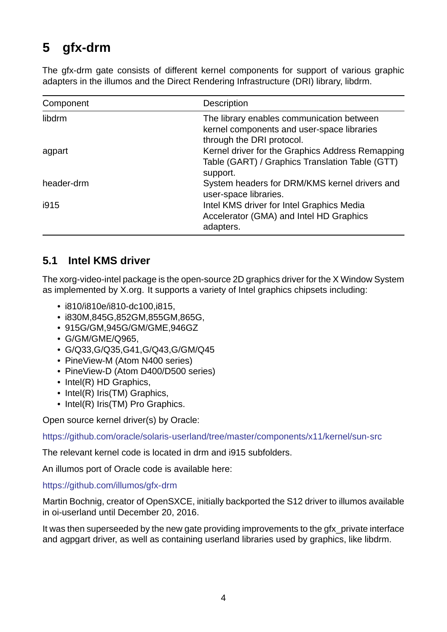### **5** gfx-drm

<span id="page-3-0"></span>The gfx-drm gate consists of different kernel components for support of various graphic adapters in the illumos and the Direct Rendering Infrastructure (DRI) library, libdrm.

| Component  | Description                                                                                                          |
|------------|----------------------------------------------------------------------------------------------------------------------|
| libdrm     | The library enables communication between<br>kernel components and user-space libraries<br>through the DRI protocol. |
| agpart     | Kernel driver for the Graphics Address Remapping<br>Table (GART) / Graphics Translation Table (GTT)<br>support.      |
| header-drm | System headers for DRM/KMS kernel drivers and<br>user-space libraries.                                               |
| i915       | Intel KMS driver for Intel Graphics Media<br>Accelerator (GMA) and Intel HD Graphics<br>adapters.                    |

#### **5.1 Intel KMS driver**

<span id="page-3-1"></span>The xorg-video-intel package is the open-source 2D graphics driver for the X Window System as implemented by X.org. It supports a variety of Intel graphics chipsets including:

- $\cdot$  i810/i810e/i810-dc100,i815,
- i830M,845G,852GM,855GM,865G,
- 915G/GM,945G/GM/GME,946GZ
- G/GM/GME/Q965,
- G/Q33,G/Q35,G41,G/Q43,G/GM/Q45
- PineView-M (Atom N400 series)
- PineView-D (Atom D400/D500 series)
- Intel(R) HD Graphics,
- Intel(R) Iris(TM) Graphics,
- Intel(R) Iris(TM) Pro Graphics.

Open source kernel driver(s) by Oracle:

https://github.com/oracle/solaris-userland/tree/master/components/x11/kernel/sun-src

The relevant kernel code is located in drm and i915 subfolders.

[An illumos port of Oracle code is available here:](https://github.com/oracle/solaris-userland/tree/master/components/x11/kernel/sun-src)

https://github.com/illumos/gfx-drm

Martin Bochnig, creator of OpenSXCE, initially backported the S12 driver to illumos available in oi-userland until December 20, 2016.

[It was then superseeded by the new](https://github.com/illumos/gfx-drm) gate providing improvements to the gfx private interface and agpgart driver, as well as containing userland libraries used by graphics, like libdrm.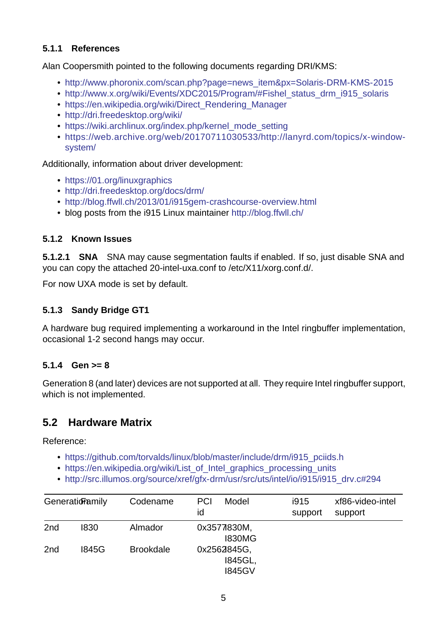#### **5.1.1 References**

Alan Coopersmith pointed to the following documents regarding DRI/KMS:

- <span id="page-4-0"></span>• http://www.phoronix.com/scan.php?page=news\_item&px=Solaris-DRM-KMS-2015
- http://www.x.org/wiki/Events/XDC2015/Program/#Fishel\_status\_drm\_i915\_solaris
- https://en.wikipedia.org/wiki/Direct\_Rendering\_Manager
- http://dri.freedesktop.org/wiki/
- [https://wiki.archlinux.org/index.php/kernel\\_mode\\_setting](http://www.x.org/wiki/Events/XDC2015/Program/#Fishel_status_drm_i915_solaris)
- [https://web.archive.org/web/20170711030533/http://l](https://en.wikipedia.org/wiki/Direct_Rendering_Manager)anyrd.com/topics/x-window[system/](http://dri.freedesktop.org/wiki/)

Additi[onally, information about driver development:](https://wiki.archlinux.org/index.php/kernel_mode_setting)

- [https://01.org/linuxgraphics](https://web.archive.org/web/20170711030533/http://lanyrd.com/topics/x-window-system/)
- http://dri.freedesktop.org/docs/drm/
- http://blog.ffwll.ch/2013/01/i915gem-crashcourse-overview.html
- [blog posts from the i915 Lin](https://01.org/linuxgraphics)ux maintainer http://blog.ffwll.ch/

#### **5.1.2 [Known Issues](http://blog.ffwll.ch/2013/01/i915gem-crashcourse-overview.html)**

<span id="page-4-1"></span>**5.1.2.1 SNA** SNA may cause segmentation [faults if enabled. If](http://blog.ffwll.ch/) so, just disable SNA and you can copy the attached 20-intel-uxa.conf to /etc/X11/xorg.conf.d/.

For now UXA mode is set by default.

#### **5.1.3 Sandy Bridge GT1**

<span id="page-4-2"></span>A hardware bug required implementing a workaround in the Intel ringbuffer implementation, occasional 1-2 second hangs may occur.

#### **5.1.4 Gen >= 8**

Generation 8 (and later) devices are not supported at all. They require Intel ringbuffer support, which is not implemented.

### **5.2 Hardware Matrix**

Reference:

- https://github.com/torvalds/linux/blob/master/include/drm/i915 pciids.h
- https://en.wikipedia.org/wiki/List\_of\_Intel\_graphics\_processing\_units
- http://src.illumos.org/source/xref/gfx-drm/usr/src/uts/intel/io/i915/i915\_drv.c#294

| Generationamily |              | Codename         | Model<br><b>PCI</b><br>id               | i915<br>support | xf86-video-intel<br>support |
|-----------------|--------------|------------------|-----------------------------------------|-----------------|-----------------------------|
| 2 <sub>nd</sub> | 1830         | Almador          | 0x3577830M,<br><b>I830MG</b>            |                 |                             |
| 2 <sub>nd</sub> | <b>I845G</b> | <b>Brookdale</b> | 0x2562845G,<br>1845GL,<br><b>I845GV</b> |                 |                             |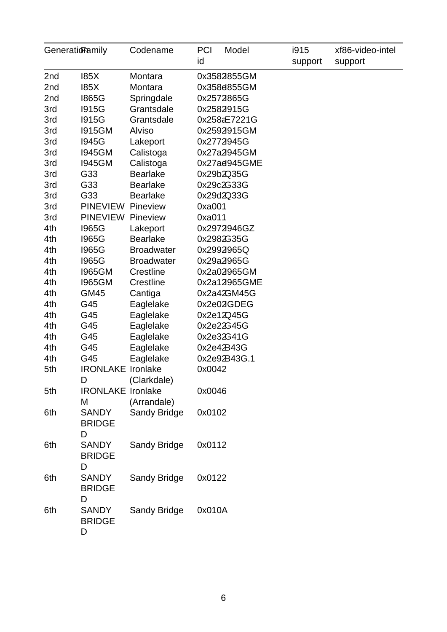| GeneratioFamily |                                         | Codename          | <b>PCI</b><br>id | Model                      | i915<br>support | xf86-video-intel<br>support |
|-----------------|-----------------------------------------|-------------------|------------------|----------------------------|-----------------|-----------------------------|
| 2nd<br>185X     |                                         |                   |                  |                            |                 |                             |
|                 |                                         | Montara           |                  | 0x3582855GM<br>0x358d855GM |                 |                             |
| 2nd             | <b>185X</b>                             | Montara           |                  |                            |                 |                             |
| 2nd             | <b>I865G</b>                            | Springdale        |                  | 0x2572865G                 |                 |                             |
| 3rd             | <b>I915G</b>                            | Grantsdale        |                  | 0x2582915G                 |                 |                             |
| 3rd             | <b>I915G</b>                            | Grantsdale        |                  | 0x258aE7221G               |                 |                             |
| 3rd             | <b>I915GM</b>                           | <b>Alviso</b>     |                  | 0x2592915GM                |                 |                             |
| 3rd             | <b>I945G</b>                            | Lakeport          |                  | 0x2772945G                 |                 |                             |
| 3rd             | <b>I945GM</b>                           | Calistoga         |                  | 0x27a2945GM                |                 |                             |
| 3rd             | <b>I945GM</b>                           | Calistoga         |                  | 0x27ad945GME               |                 |                             |
| 3rd             | G33                                     | <b>Bearlake</b>   |                  | 0x29b2Q35G                 |                 |                             |
| 3rd             | G33                                     | <b>Bearlake</b>   |                  | 0x29c2G33G                 |                 |                             |
| 3rd             | G33                                     | <b>Bearlake</b>   |                  | 0x29d2Q33G                 |                 |                             |
| 3rd             | PINEVIEW Pineview                       |                   | 0xa001           |                            |                 |                             |
| 3rd             | <b>PINEVIEW Pineview</b>                |                   | 0xa011           |                            |                 |                             |
| 4th             | <b>I965G</b>                            | Lakeport          |                  | 0x2972946GZ                |                 |                             |
| 4th             | 1965G                                   | <b>Bearlake</b>   |                  | 0x2982G35G                 |                 |                             |
| 4th             | <b>I965G</b>                            | <b>Broadwater</b> |                  | 0x2992965Q                 |                 |                             |
| 4th             | <b>I965G</b>                            | <b>Broadwater</b> |                  | 0x29a2965G                 |                 |                             |
| 4th             | <b>I965GM</b>                           | Crestline         |                  | 0x2a02965GM                |                 |                             |
| 4th             | <b>I965GM</b>                           | Crestline         |                  | 0x2a12965GME               |                 |                             |
| 4th             | <b>GM45</b>                             | Cantiga           |                  | 0x2a42GM45G                |                 |                             |
| 4th             | G45                                     | Eaglelake         |                  | 0x2e02GDEG                 |                 |                             |
| 4th             | G45                                     | Eaglelake         |                  | 0x2e12Q45G                 |                 |                             |
| 4th             | G45                                     | Eaglelake         |                  | 0x2e22G45G                 |                 |                             |
| 4th             | G45                                     | Eaglelake         |                  | 0x2e32G41G                 |                 |                             |
| 4th             | G45                                     | Eaglelake         |                  | 0x2e42B43G                 |                 |                             |
| 4th             | G45                                     | Eaglelake         |                  | 0x2e92B43G.1               |                 |                             |
| 5th             | <b>IRONLAKE Ironlake</b>                |                   | 0x0042           |                            |                 |                             |
|                 | D                                       | (Clarkdale)       |                  |                            |                 |                             |
| 5th             | <b>IRONLAKE Ironlake</b>                |                   | 0x0046           |                            |                 |                             |
|                 | M                                       | (Arrandale)       |                  |                            |                 |                             |
| 6th             | <b>SANDY</b><br><b>BRIDGE</b>           | Sandy Bridge      | 0x0102           |                            |                 |                             |
| 6th             | D<br><b>SANDY</b><br><b>BRIDGE</b><br>D | Sandy Bridge      | 0x0112           |                            |                 |                             |
| 6th             | <b>SANDY</b><br><b>BRIDGE</b><br>D      | Sandy Bridge      | 0x0122           |                            |                 |                             |
| 6th             | <b>SANDY</b><br><b>BRIDGE</b><br>D      | Sandy Bridge      | 0x010A           |                            |                 |                             |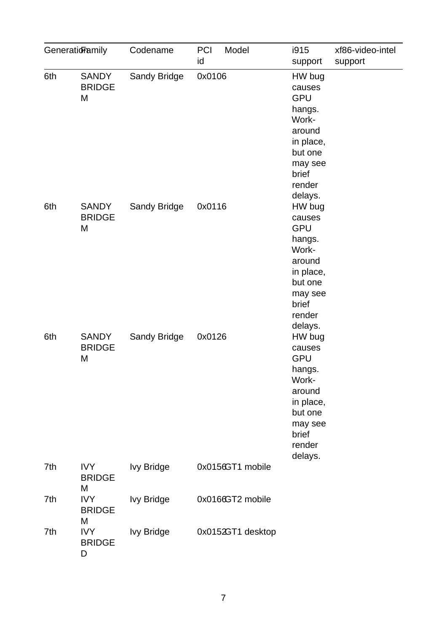| Generatioramily |                                    | Codename          | <b>PCI</b><br>Model<br>id | i915<br>support                                                                                                                         | xf86-video-intel<br>support |
|-----------------|------------------------------------|-------------------|---------------------------|-----------------------------------------------------------------------------------------------------------------------------------------|-----------------------------|
| 6th             | <b>SANDY</b><br><b>BRIDGE</b><br>M | Sandy Bridge      | 0x0106                    | HW bug<br>causes<br><b>GPU</b><br>hangs.<br>Work-<br>around<br>in place,<br>but one<br>may see<br>brief<br>render                       |                             |
| 6th             | <b>SANDY</b><br><b>BRIDGE</b><br>M | Sandy Bridge      | 0x0116                    | delays.<br>HW bug<br>causes<br><b>GPU</b><br>hangs.<br>Work-<br>around<br>in place,<br>but one<br>may see<br>brief<br>render<br>delays. |                             |
| 6th             | <b>SANDY</b><br><b>BRIDGE</b><br>M | Sandy Bridge      | 0x0126                    | HW bug<br>causes<br><b>GPU</b><br>hangs.<br>Work-<br>around<br>in place,<br>but one<br>may see<br>brief<br>render                       |                             |
| 7th             | <b>IVY</b><br><b>BRIDGE</b><br>M   | <b>Ivy Bridge</b> | 0x0156GT1 mobile          | delays.                                                                                                                                 |                             |
| 7th             | <b>IVY</b><br><b>BRIDGE</b><br>M   | <b>Ivy Bridge</b> | 0x0166GT2 mobile          |                                                                                                                                         |                             |
| 7th             | <b>IVY</b><br><b>BRIDGE</b><br>D   | <b>Ivy Bridge</b> | 0x0152GT1 desktop         |                                                                                                                                         |                             |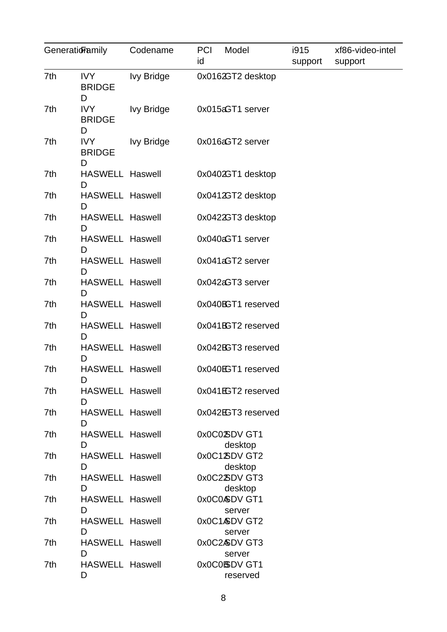| Generationamily |                                       | Codename          | <b>PCI</b><br>Model<br>id | i915<br>support | xf86-video-intel<br>support |
|-----------------|---------------------------------------|-------------------|---------------------------|-----------------|-----------------------------|
| 7th             | <b>IVY</b><br><b>BRIDGE</b>           | Ivy Bridge        | 0x0162GT2 desktop         |                 |                             |
| 7th             | D<br>IVY<br><b>BRIDGE</b>             | <b>Ivy Bridge</b> | 0x015aGT1 server          |                 |                             |
| 7th             | D<br><b>IVY</b><br><b>BRIDGE</b><br>D | <b>Ivy Bridge</b> | 0x016aGT2 server          |                 |                             |
| 7th             | <b>HASWELL Haswell</b><br>D           |                   | 0x0402GT1 desktop         |                 |                             |
| 7th             | <b>HASWELL Haswell</b><br>D           |                   | 0x0412GT2 desktop         |                 |                             |
| 7th             | <b>HASWELL Haswell</b><br>D           |                   | 0x0422GT3 desktop         |                 |                             |
| 7th             | <b>HASWELL Haswell</b><br>D           |                   | 0x040aGT1 server          |                 |                             |
| 7th             | <b>HASWELL Haswell</b><br>D           |                   | 0x041aGT2 server          |                 |                             |
| 7th             | <b>HASWELL Haswell</b><br>D           |                   | 0x042aGT3 server          |                 |                             |
| 7th             | <b>HASWELL Haswell</b><br>D           |                   | 0x040BGT1 reserved        |                 |                             |
| 7th             | <b>HASWELL Haswell</b><br>D           |                   | 0x041BGT2 reserved        |                 |                             |
| 7th             | <b>HASWELL Haswell</b><br>D           |                   | 0x042BGT3 reserved        |                 |                             |
| 7th             | <b>HASWELL Haswell</b><br>D           |                   | 0x040EGT1 reserved        |                 |                             |
| 7th             | <b>HASWELL Haswell</b><br>D           |                   | 0x041EGT2 reserved        |                 |                             |
| 7th             | <b>HASWELL Haswell</b><br>D           |                   | 0x042EGT3 reserved        |                 |                             |
| 7th             | <b>HASWELL Haswell</b><br>D           |                   | 0x0C02SDV GT1<br>desktop  |                 |                             |
| 7th             | <b>HASWELL Haswell</b><br>D           |                   | 0x0C1XDV GT2<br>desktop   |                 |                             |
| 7th             | <b>HASWELL Haswell</b><br>D           |                   | 0x0C2XDVGT3<br>desktop    |                 |                             |
| 7th             | <b>HASWELL Haswell</b><br>D           |                   | 0x0C0&DV GT1<br>server    |                 |                             |
| 7th             | <b>HASWELL Haswell</b><br>D           |                   | 0x0C1&DV GT2<br>server    |                 |                             |
| 7th             | <b>HASWELL Haswell</b><br>D           |                   | 0x0C2&DV GT3<br>server    |                 |                             |
| 7th             | <b>HASWELL Haswell</b><br>D           |                   | 0x0C0BDV GT1<br>reserved  |                 |                             |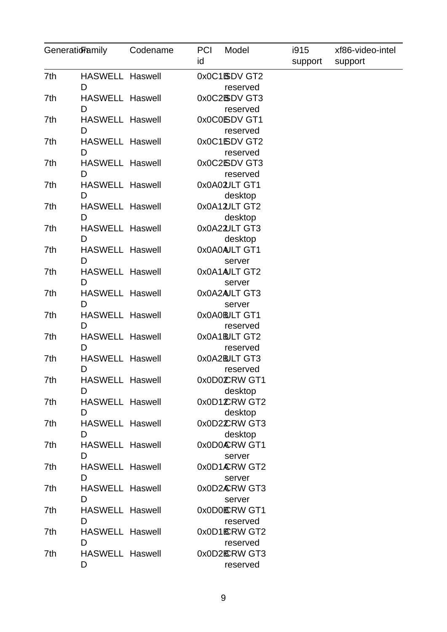| Generatioramily |                             | Codename | <b>PCI</b><br>id | Model                     | i915<br>support | xf86-video-intel<br>support |
|-----------------|-----------------------------|----------|------------------|---------------------------|-----------------|-----------------------------|
| 7th             | <b>HASWELL Haswell</b>      |          |                  | 0x0C1BDV GT2              |                 |                             |
|                 | D                           |          |                  | reserved                  |                 |                             |
| 7th             | <b>HASWELL Haswell</b>      |          |                  | 0x0C2BDV GT3              |                 |                             |
|                 | D                           |          |                  | reserved                  |                 |                             |
| 7th             | <b>HASWELL Haswell</b>      |          |                  | 0x0C0SDV GT1              |                 |                             |
|                 | D                           |          |                  | reserved                  |                 |                             |
| 7th             | <b>HASWELL Haswell</b>      |          |                  | 0x0C1SDV GT2              |                 |                             |
| 7th             | D<br><b>HASWELL Haswell</b> |          |                  | reserved<br>0x0C2ISDV GT3 |                 |                             |
|                 | D                           |          |                  | reserved                  |                 |                             |
| 7th             | <b>HASWELL Haswell</b>      |          |                  | 0x0A02ULT GT1             |                 |                             |
|                 | D                           |          |                  | desktop                   |                 |                             |
| 7th             | <b>HASWELL Haswell</b>      |          |                  | 0x0A12ULT GT2             |                 |                             |
|                 | D                           |          |                  | desktop                   |                 |                             |
| 7th             | <b>HASWELL Haswell</b>      |          |                  | 0x0A22ULT GT3             |                 |                             |
|                 | D                           |          |                  | desktop                   |                 |                             |
| 7th             | <b>HASWELL Haswell</b>      |          |                  | 0x0A0AJLT GT1             |                 |                             |
|                 | D                           |          |                  | server                    |                 |                             |
| 7th             | <b>HASWELL Haswell</b>      |          |                  | 0x0A1AJLT GT2             |                 |                             |
|                 | D                           |          |                  | server                    |                 |                             |
| 7th             | <b>HASWELL Haswell</b>      |          |                  | 0x0A2AULT GT3             |                 |                             |
|                 | D                           |          |                  | server                    |                 |                             |
| 7th             | <b>HASWELL Haswell</b>      |          |                  | OxOAOBJLT GT1             |                 |                             |
| 7th             | D<br><b>HASWELL Haswell</b> |          |                  | reserved<br>0x0A1BJLT GT2 |                 |                             |
|                 | D                           |          |                  | reserved                  |                 |                             |
| 7th             | <b>HASWELL Haswell</b>      |          |                  | OxOA2BLT GT3              |                 |                             |
|                 | D                           |          |                  | reserved                  |                 |                             |
| 7th             | <b>HASWELL Haswell</b>      |          |                  | 0x0D0CRW GT1              |                 |                             |
|                 | D                           |          |                  | desktop                   |                 |                             |
| 7th             | <b>HASWELL Haswell</b>      |          |                  | 0x0D1CRW GT2              |                 |                             |
|                 | D                           |          |                  | desktop                   |                 |                             |
| 7th             | <b>HASWELL Haswell</b>      |          |                  | 0x0D2CRW GT3              |                 |                             |
|                 | D                           |          |                  | desktop                   |                 |                             |
| 7th             | <b>HASWELL Haswell</b>      |          |                  | 0x0D0ÆRW GT1              |                 |                             |
|                 | D                           |          |                  | server                    |                 |                             |
| 7th             | <b>HASWELL Haswell</b>      |          |                  | 0x0D1ÆRW GT2              |                 |                             |
|                 | D                           |          |                  | server                    |                 |                             |
| 7th             | <b>HASWELL Haswell</b><br>D |          |                  | 0x0D2ÆRW GT3              |                 |                             |
| 7th             | <b>HASWELL Haswell</b>      |          |                  | server<br>0x0D0 ERW GT1   |                 |                             |
|                 | D                           |          |                  | reserved                  |                 |                             |
| 7th             | <b>HASWELL Haswell</b>      |          |                  | 0x0D16CRW GT2             |                 |                             |
|                 | D                           |          |                  | reserved                  |                 |                             |
| 7th             | <b>HASWELL Haswell</b>      |          |                  | 0x0D2 <b>ERW</b> GT3      |                 |                             |
|                 | D                           |          |                  | reserved                  |                 |                             |
|                 |                             |          |                  |                           |                 |                             |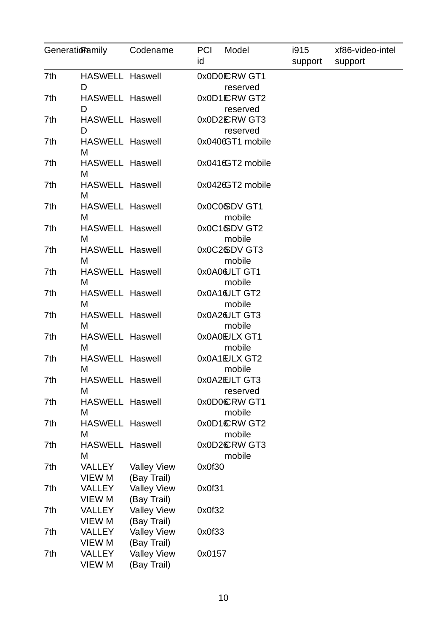| Generatioramily |                                | Codename                          | <b>PCI</b><br>id | Model                     | i915<br>support | xf86-video-intel<br>support |
|-----------------|--------------------------------|-----------------------------------|------------------|---------------------------|-----------------|-----------------------------|
| 7th             | <b>HASWELL Haswell</b><br>D    |                                   |                  | 0x0D0ERW GT1<br>reserved  |                 |                             |
| 7th             | <b>HASWELL Haswell</b><br>D    |                                   |                  | 0x0D1ERW GT2<br>reserved  |                 |                             |
| 7th             | <b>HASWELL Haswell</b><br>D    |                                   |                  | 0x0D2ERW GT3<br>reserved  |                 |                             |
| 7th             | <b>HASWELL Haswell</b><br>M    |                                   |                  | 0x0406GT1 mobile          |                 |                             |
| 7th             | <b>HASWELL Haswell</b><br>м    |                                   |                  | 0x0416GT2 mobile          |                 |                             |
| 7th             | <b>HASWELL Haswell</b><br>M    |                                   |                  | 0x0426GT2 mobile          |                 |                             |
| 7th             | <b>HASWELL Haswell</b><br>M    |                                   |                  | 0x0C06DV GT1<br>mobile    |                 |                             |
| 7th             | <b>HASWELL Haswell</b><br>M    |                                   |                  | 0x0C16DV GT2<br>mobile    |                 |                             |
| 7th             | <b>HASWELL Haswell</b><br>M    |                                   |                  | 0x0C26DV GT3<br>mobile    |                 |                             |
| 7th             | <b>HASWELL Haswell</b><br>M    |                                   |                  | 0x0A0&JLT GT1<br>mobile   |                 |                             |
| 7th             | <b>HASWELL Haswell</b><br>M    |                                   |                  | 0x0A16ULT GT2<br>mobile   |                 |                             |
| 7th             | <b>HASWELL Haswell</b><br>M    |                                   |                  | 0x0A26ULT GT3<br>mobile   |                 |                             |
| 7th             | <b>HASWELL Haswell</b><br>M    |                                   |                  | 0x0A0EUX GT1<br>mobile    |                 |                             |
| 7th             | <b>HASWELL Haswell</b><br>M    |                                   |                  | 0x0A1EJLX GT2<br>mobile   |                 |                             |
| 7th             | <b>HASWELL Haswell</b><br>M    |                                   |                  | 0x0A2EULT GT3<br>reserved |                 |                             |
| 7th             | <b>HASWELL Haswell</b><br>M    |                                   |                  | 0x0D0CRW GT1<br>mobile    |                 |                             |
| 7th             | <b>HASWELL Haswell</b><br>M    |                                   |                  | 0x0D1CRW GT2<br>mobile    |                 |                             |
| 7th             | <b>HASWELL Haswell</b><br>M    |                                   |                  | 0x0D2CRW GT3<br>mobile    |                 |                             |
| 7th             | <b>VALLEY</b><br><b>VIEW M</b> | <b>Valley View</b><br>(Bay Trail) | 0x0f30           |                           |                 |                             |
| 7th             | <b>VALLEY</b><br><b>VIEW M</b> | <b>Valley View</b><br>(Bay Trail) | 0x0f31           |                           |                 |                             |
| 7th             | <b>VALLEY</b><br><b>VIEW M</b> | <b>Valley View</b><br>(Bay Trail) | 0x0f32           |                           |                 |                             |
| 7th             | <b>VALLEY</b><br><b>VIEW M</b> | <b>Valley View</b><br>(Bay Trail) | 0x0f33           |                           |                 |                             |
| 7th             | <b>VALLEY</b><br>VIEW M        | <b>Valley View</b><br>(Bay Trail) | 0x0157           |                           |                 |                             |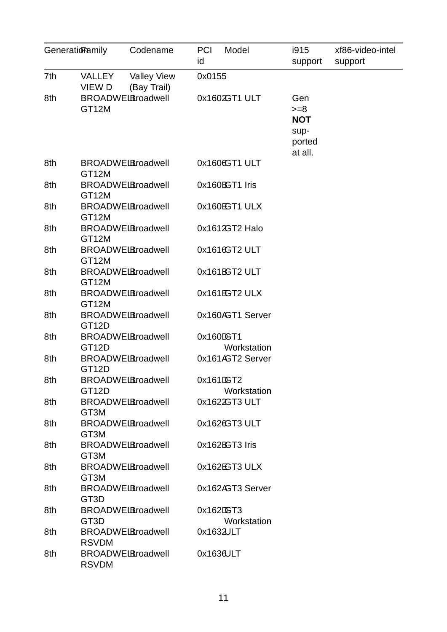| Generatioramily | Codename                                                     | <b>PCI</b><br>Model<br>id | i915<br>support                                          | xf86-video-intel<br>support |
|-----------------|--------------------------------------------------------------|---------------------------|----------------------------------------------------------|-----------------------------|
| 7th             | <b>Valley View</b><br>VALLEY<br>(Bay Trail)<br><b>VIEW D</b> | 0x0155                    |                                                          |                             |
| 8th             | <b>BROADWELBroadwell</b><br>GT12M                            | 0x1602GT1 ULT             | Gen<br>$>= 8$<br><b>NOT</b><br>sup-<br>ported<br>at all. |                             |
| 8th             | <b>BROADWELBroadwell</b><br>GT12M                            | 0x1606GT1 ULT             |                                                          |                             |
| 8th             | <b>BROADWELBroadwell</b><br>GT12M                            | 0x160BGT1 Iris            |                                                          |                             |
| 8th             | <b>BROADWELBroadwell</b><br>GT12M                            | 0x160EGT1 ULX             |                                                          |                             |
| 8th             | <b>BROADWELBroadwell</b><br>GT12M                            | 0x1612GT2 Halo            |                                                          |                             |
| 8th             | <b>BROADWELBroadwell</b><br>GT12M                            | 0x1616GT2 ULT             |                                                          |                             |
| 8th             | <b>BROADWELBroadwell</b><br>GT12M                            | 0x161BGT2 ULT             |                                                          |                             |
| 8th             | <b>BROADWELBroadwell</b><br>GT12M                            | 0x161EGT2 ULX             |                                                          |                             |
| 8th             | <b>BROADWELBroadwell</b><br>GT12D                            | 0x160AGT1 Server          |                                                          |                             |
| 8th             | <b>BROADWELBroadwell</b><br>GT12D                            | 0x160DGT1<br>Workstation  |                                                          |                             |
| 8th             | <b>BROADWELBroadwell</b><br>GT12D                            | 0x161AGT2 Server          |                                                          |                             |
| 8th             | <b>BROADWELBroadwell</b><br>GT12D                            | 0x161DGT2<br>Workstation  |                                                          |                             |
| 8th             | <b>BROADWEL Broadwell</b><br>GT3M                            | 0x1622GT3 ULT             |                                                          |                             |
| 8th             | <b>BROADWEL Broadwell</b><br>GT3M                            | 0x1626GT3 ULT             |                                                          |                             |
| 8th             | <b>BROADWELBroadwell</b><br>GT3M                             | 0x162BGT3 Iris            |                                                          |                             |
| 8th             | <b>BROADWELBroadwell</b><br>GT3M                             | 0x162EGT3 ULX             |                                                          |                             |
| 8th             | <b>BROADWELBroadwell</b><br>GT <sub>3</sub> D                | 0x162AGT3 Server          |                                                          |                             |
| 8th             | <b>BROADWEL Broadwell</b><br>GT3D                            | 0x162DGT3<br>Workstation  |                                                          |                             |
| 8th             | <b>BROADWELBroadwell</b><br><b>RSVDM</b>                     | 0x1632JLT                 |                                                          |                             |
| 8th             | <b>BROADWELBroadwell</b><br><b>RSVDM</b>                     | 0x1636ULT                 |                                                          |                             |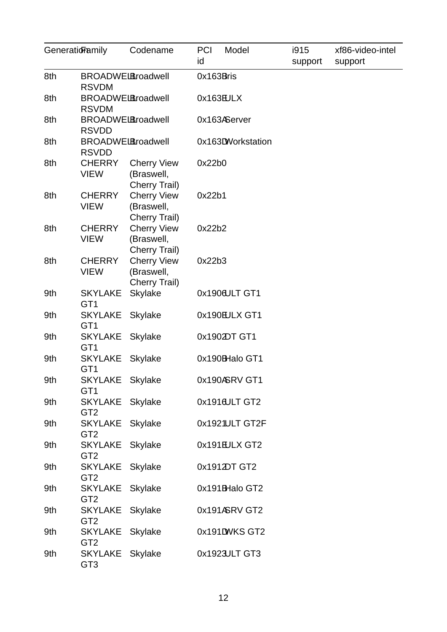| GeneratioFamily                                 |                                          | Codename                                          | <b>PCI</b><br>id | Model             | i915<br>support | xf86-video-intel<br>support |
|-------------------------------------------------|------------------------------------------|---------------------------------------------------|------------------|-------------------|-----------------|-----------------------------|
| 8th<br><b>BROADWELBroadwell</b><br><b>RSVDM</b> |                                          |                                                   | 0x163Bris        |                   |                 |                             |
| 8th                                             | <b>BROADWELBroadwell</b><br><b>RSVDM</b> |                                                   | 0x163EULX        |                   |                 |                             |
| 8th                                             | <b>BROADWELBroadwell</b><br><b>RSVDD</b> |                                                   |                  | 0x163AServer      |                 |                             |
| 8th                                             | <b>BROADWELBroadwell</b><br><b>RSVDD</b> |                                                   |                  | 0x163DWorkstation |                 |                             |
| 8th                                             | <b>CHERRY</b><br><b>VIEW</b>             | <b>Cherry View</b><br>(Braswell,<br>Cherry Trail) | 0x22b0           |                   |                 |                             |
| 8th                                             | <b>CHERRY</b><br><b>VIEW</b>             | <b>Cherry View</b><br>(Braswell,<br>Cherry Trail) | 0x22b1           |                   |                 |                             |
| 8th                                             | <b>CHERRY</b><br><b>VIEW</b>             | <b>Cherry View</b><br>(Braswell,                  | 0x22b2           |                   |                 |                             |
| 8th                                             | <b>CHERRY</b><br><b>VIEW</b>             | Cherry Trail)<br><b>Cherry View</b><br>(Braswell, | 0x22b3           |                   |                 |                             |
| 9th                                             | <b>SKYLAKE</b><br>GT1                    | Cherry Trail)<br>Skylake                          |                  | 0x1906ULT GT1     |                 |                             |
| 9th                                             | SKYLAKE Skylake<br>GT1                   |                                                   |                  | 0x190EULX GT1     |                 |                             |
| 9th                                             | SKYLAKE Skylake<br>GT1                   |                                                   |                  | 0x1902DT GT1      |                 |                             |
| 9th                                             | SKYLAKE Skylake<br>GT1                   |                                                   |                  | 0x190BHalo GT1    |                 |                             |
| 9th                                             | SKYLAKE Skylake<br>GT1                   |                                                   |                  | 0x190ASRV GT1     |                 |                             |
| 9th                                             | SKYLAKE Skylake<br>GT <sub>2</sub>       |                                                   |                  | 0x1916ULT GT2     |                 |                             |
| 9th                                             | SKYLAKE Skylake<br>GT <sub>2</sub>       |                                                   |                  | 0x1921ULT GT2F    |                 |                             |
| 9th                                             | SKYLAKE Skylake<br>GT <sub>2</sub>       |                                                   |                  | 0x191EULX GT2     |                 |                             |
| 9th                                             | SKYLAKE Skylake<br>GT <sub>2</sub>       |                                                   |                  | 0x1912DT GT2      |                 |                             |
| 9th                                             | SKYLAKE Skylake<br>GT <sub>2</sub>       |                                                   |                  | 0x191BHalo GT2    |                 |                             |
| 9th                                             | SKYLAKE Skylake<br>GT <sub>2</sub>       |                                                   |                  | 0x191ASRV GT2     |                 |                             |
| 9th                                             | SKYLAKE Skylake<br>GT <sub>2</sub>       |                                                   |                  | 0x191DWKSGT2      |                 |                             |
| 9th                                             | SKYLAKE Skylake<br>GT <sub>3</sub>       |                                                   |                  | 0x1923JLT GT3     |                 |                             |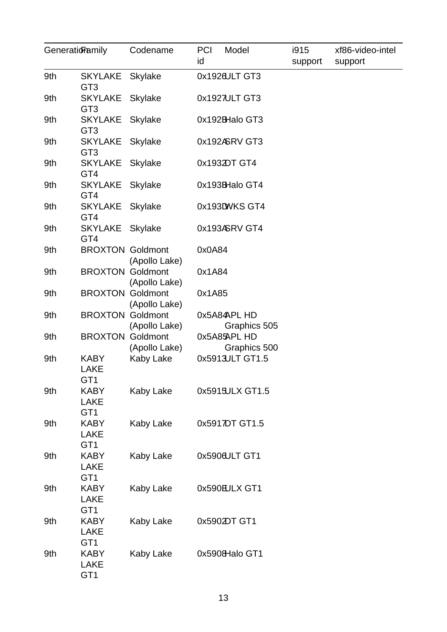| Generatioramily |                                    | Codename      | <b>PCI</b><br>Model<br>id    | i915<br>support | xf86-video-intel<br>support |
|-----------------|------------------------------------|---------------|------------------------------|-----------------|-----------------------------|
| 9th             | SKYLAKE Skylake<br>GT <sub>3</sub> |               | 0x1926ULT GT3                |                 |                             |
| 9th             | SKYLAKE Skylake<br>GT <sub>3</sub> |               | 0x1927ULT GT3                |                 |                             |
| 9th             | SKYLAKE<br>GT <sub>3</sub>         | Skylake       | 0x192BHalo GT3               |                 |                             |
| 9th             | <b>SKYLAKE</b><br>GT <sub>3</sub>  | Skylake       | 0x192ASRV GT3                |                 |                             |
| 9th             | SKYLAKE Skylake<br>GT4             |               | 0x1932DT GT4                 |                 |                             |
| 9th             | SKYLAKE Skylake<br>GT4             |               | 0x193BHalo GT4               |                 |                             |
| 9th             | SKYLAKE Skylake<br>GT4             |               | 0x193DWKS GT4                |                 |                             |
| 9th             | SKYLAKE Skylake<br>GT4             |               | 0x193ASRV GT4                |                 |                             |
| 9th             | <b>BROXTON Goldmont</b>            | (Apollo Lake) | 0x0A84                       |                 |                             |
| 9th             | <b>BROXTON Goldmont</b>            | (Apollo Lake) | 0x1A84                       |                 |                             |
| 9th             | <b>BROXTON Goldmont</b>            | (Apollo Lake) | 0x1A85                       |                 |                             |
| 9th             | <b>BROXTON Goldmont</b>            | (Apollo Lake) | 0x5A84APL HD<br>Graphics 505 |                 |                             |
| 9th             | <b>BROXTON Goldmont</b>            | (Apollo Lake) | 0x5A85APL HD<br>Graphics 500 |                 |                             |
| 9th             | <b>KABY</b><br>LAKE<br>GT1         | Kaby Lake     | 0x5913JLT GT1.5              |                 |                             |
| 9th             | <b>KABY</b><br><b>LAKE</b><br>GT1  | Kaby Lake     | 0x5915ULX GT1.5              |                 |                             |
| 9th             | <b>KABY</b><br><b>LAKE</b><br>GT1  | Kaby Lake     | 0x5917DT GT1.5               |                 |                             |
| 9th             | <b>KABY</b><br><b>LAKE</b><br>GT1  | Kaby Lake     | 0x590&ULT GT1                |                 |                             |
| 9th             | <b>KABY</b><br><b>LAKE</b><br>GT1  | Kaby Lake     | 0x590EULX GT1                |                 |                             |
| 9th             | <b>KABY</b><br><b>LAKE</b><br>GT1  | Kaby Lake     | 0x5902DT GT1                 |                 |                             |
| 9th             | <b>KABY</b><br><b>LAKE</b><br>GT1  | Kaby Lake     | 0x5908Halo GT1               |                 |                             |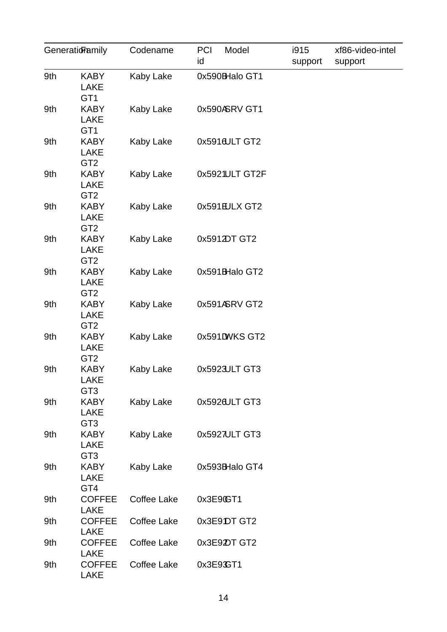| GeneratioFamily |                                               | Codename    | <b>PCI</b><br>Model<br>id | i915<br>support | xf86-video-intel<br>support |
|-----------------|-----------------------------------------------|-------------|---------------------------|-----------------|-----------------------------|
| 9th             | <b>KABY</b><br><b>LAKE</b>                    | Kaby Lake   | 0x590BHalo GT1            |                 |                             |
| 9th             | GT1<br><b>KABY</b><br><b>LAKE</b><br>GT1      | Kaby Lake   | 0x590ASRV GT1             |                 |                             |
| 9th             | <b>KABY</b><br><b>LAKE</b><br>GT <sub>2</sub> | Kaby Lake   | 0x5916ULT GT2             |                 |                             |
| 9th             | <b>KABY</b><br><b>LAKE</b><br>GT <sub>2</sub> | Kaby Lake   | 0x5921ULT GT2F            |                 |                             |
| 9th             | <b>KABY</b><br><b>LAKE</b><br>GT <sub>2</sub> | Kaby Lake   | 0x591EULX GT2             |                 |                             |
| 9th             | <b>KABY</b><br><b>LAKE</b><br>GT <sub>2</sub> | Kaby Lake   | 0x5912DT GT2              |                 |                             |
| 9th             | <b>KABY</b><br><b>LAKE</b><br>GT <sub>2</sub> | Kaby Lake   | 0x591BHalo GT2            |                 |                             |
| 9th             | <b>KABY</b><br><b>LAKE</b><br>GT <sub>2</sub> | Kaby Lake   | 0x591ASRV GT2             |                 |                             |
| 9th             | <b>KABY</b><br><b>LAKE</b><br>GT <sub>2</sub> | Kaby Lake   | 0x591DWKSGT2              |                 |                             |
| 9th             | <b>KABY</b><br>LAKE<br>GT <sub>3</sub>        | Kaby Lake   | 0x5923JLT GT3             |                 |                             |
| 9th             | <b>KABY</b><br><b>LAKE</b><br>GT <sub>3</sub> | Kaby Lake   | 0x5926ULT GT3             |                 |                             |
| 9th             | <b>KABY</b><br><b>LAKE</b><br>GT <sub>3</sub> | Kaby Lake   | 0x5927ULT GT3             |                 |                             |
| 9th             | <b>KABY</b><br><b>LAKE</b><br>GT4             | Kaby Lake   | 0x593BHalo GT4            |                 |                             |
| 9th             | <b>COFFEE</b><br><b>LAKE</b>                  | Coffee Lake | 0x3E9CT1                  |                 |                             |
| 9th             | <b>COFFEE</b><br><b>LAKE</b>                  | Coffee Lake | 0x3E9DT GT2               |                 |                             |
| 9th             | <b>COFFEE</b><br><b>LAKE</b>                  | Coffee Lake | 0x3E92DT GT2              |                 |                             |
| 9th             | <b>COFFEE</b><br><b>LAKE</b>                  | Coffee Lake | 0x3E93GT1                 |                 |                             |